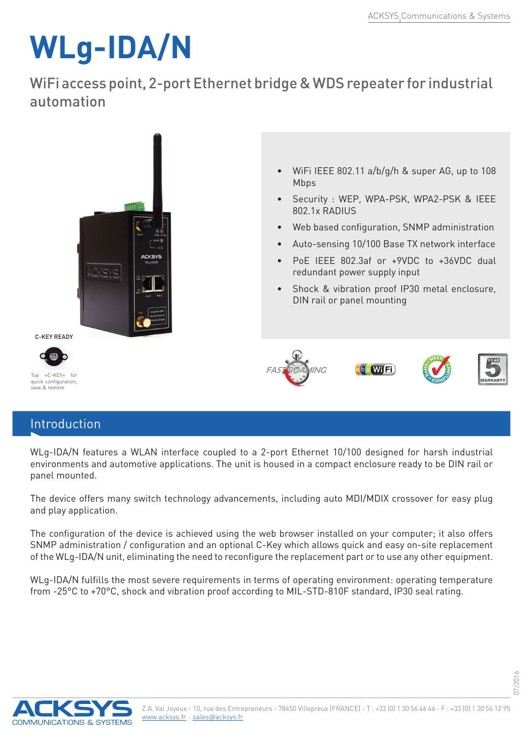## **WLg-IDA/N**

WiFi access point, 2-port Ethernet bridge & WDS repeater for industrial automation



## Introduction

WLg-IDA/N features a WLAN interface coupled to a 2-port Ethernet 10/100 designed for harsh industrial environments and automotive applications. The unit is housed in a compact enclosure ready to be DIN rail or panel mounted.

The device offers many switch technology advancements, including auto MDI/MDIX crossover for easy plug and play application.

The configuration of the device is achieved using the web browser installed on your computer; it also offers SNMP administration / configuration and an optional C-Key which allows quick and easy on-site replacement of the WLg-IDA/N unit, eliminating the need to reconfigure the replacement part or to use any other equipment.

WLg-IDA/N fulfills the most severe requirements in terms of operating environment: operating temperature from -25°C to +70°C, shock and vibration proof according to MIL-STD-810F standard, IP30 seal rating.



07/2016